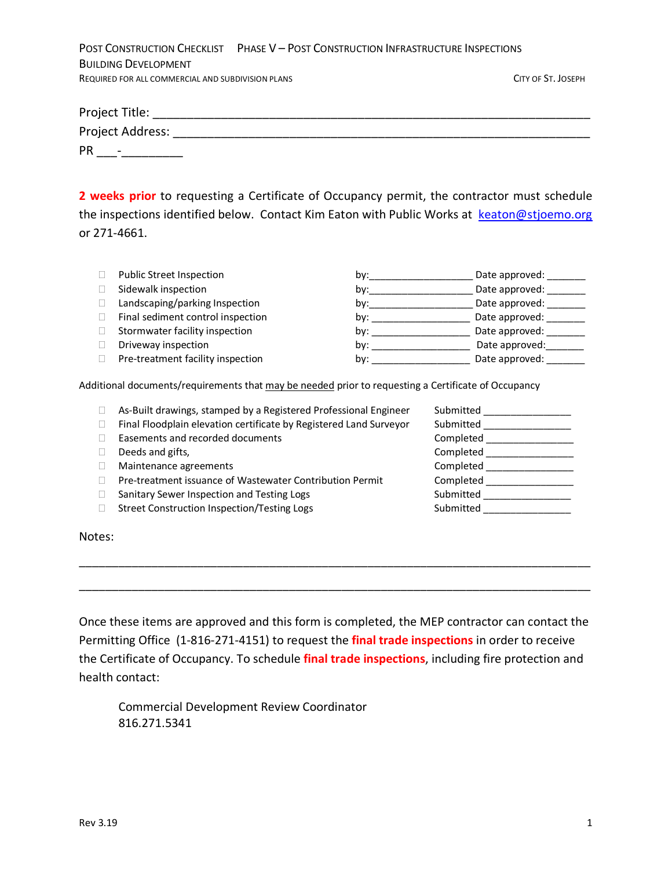|                                                   | POST CONSTRUCTION CHECKLIST PHASE V - POST CONSTRUCTION INFRASTRUCTURE INSPECTIONS |                    |
|---------------------------------------------------|------------------------------------------------------------------------------------|--------------------|
| <b>BUILDING DEVELOPMENT</b>                       |                                                                                    |                    |
| REQUIRED FOR ALL COMMERCIAL AND SUBDIVISION PLANS |                                                                                    | CITY OF ST. JOSEPH |

| Project Title:                 |  |  |  |
|--------------------------------|--|--|--|
| Project Address:               |  |  |  |
| PR<br>$\overline{\phantom{a}}$ |  |  |  |

**2 weeks prior** to requesting a Certificate of Occupancy permit, the contractor must schedule the inspections identified below. Contact Kim Eaton with Public Works at [keaton@stjoemo.org](mailto:keaton@stjoemo.org) or 271-4661.

| Public Street Inspection          | bv: | Date approved: |
|-----------------------------------|-----|----------------|
| Sidewalk inspection               | bv: | Date approved: |
| Landscaping/parking Inspection    | bv: | Date approved: |
| Final sediment control inspection | bv: | Date approved: |
| Stormwater facility inspection    | bv: | Date approved: |
| Driveway inspection               | bv: | Date approved: |
| Pre-treatment facility inspection | by: | Date approved: |

Additional documents/requirements that may be needed prior to requesting a Certificate of Occupancy

| As-Built drawings, stamped by a Registered Professional Engineer   | Submitted |
|--------------------------------------------------------------------|-----------|
| Final Floodplain elevation certificate by Registered Land Surveyor | Submitted |
| Easements and recorded documents                                   | Completed |
| Deeds and gifts,                                                   | Completed |
| Maintenance agreements                                             | Completed |
| Pre-treatment issuance of Wastewater Contribution Permit           | Completed |
| Sanitary Sewer Inspection and Testing Logs                         | Submitted |
| Street Construction Inspection/Testing Logs                        | Submitted |
|                                                                    |           |

Notes:

Once these items are approved and this form is completed, the MEP contractor can contact the Permitting Office (1-816-271-4151) to request the **final trade inspections** in order to receive the Certificate of Occupancy. To schedule **final trade inspections**, including fire protection and health contact:

\_\_\_\_\_\_\_\_\_\_\_\_\_\_\_\_\_\_\_\_\_\_\_\_\_\_\_\_\_\_\_\_\_\_\_\_\_\_\_\_\_\_\_\_\_\_\_\_\_\_\_\_\_\_\_\_\_\_\_\_\_\_\_\_\_\_\_\_\_\_\_\_\_\_\_\_\_\_

\_\_\_\_\_\_\_\_\_\_\_\_\_\_\_\_\_\_\_\_\_\_\_\_\_\_\_\_\_\_\_\_\_\_\_\_\_\_\_\_\_\_\_\_\_\_\_\_\_\_\_\_\_\_\_\_\_\_\_\_\_\_\_\_\_\_\_\_\_\_\_\_\_\_\_\_\_\_

Commercial Development Review Coordinator 816.271.5341